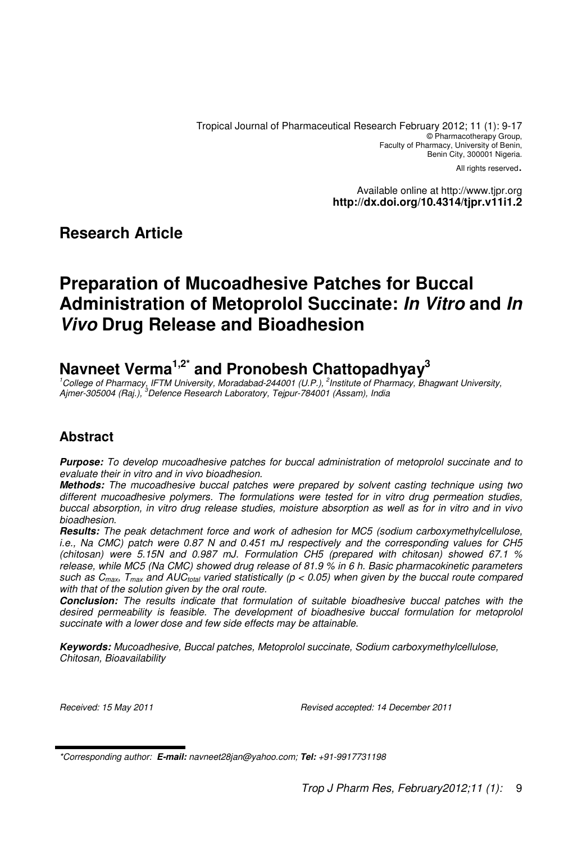Tropical Journal of Pharmaceutical Research February 2012; 11 (1): 9-17 © Pharmacotherapy Group, Faculty of Pharmacy, University of Benin, Benin City, 300001 Nigeria.

All rights reserved.

Available online at http://www.tjpr.org **http://dx.doi.org/10.4314/tjpr.v11i1.2**

## **Research Article**

# **Preparation of Mucoadhesive Patches for Buccal Administration of Metoprolol Succinate: In Vitro and In Vivo Drug Release and Bioadhesion**

# **Navneet Verma1,2\* and Pronobesh Chattopadhyay<sup>3</sup>**

 $1^{\circ}$ College of Pharmacy, IFTM University, Moradabad-244001 (U.P.),  $^2$ Institute of Pharmacy, Bhagwant University, Ajmer-305004 (Raj.), <sup>3</sup>Defence Research Laboratory, Tejpur-784001 (Assam), India

## **Abstract**

**Purpose:** To develop mucoadhesive patches for buccal administration of metoprolol succinate and to evaluate their in vitro and in vivo bioadhesion.

**Methods:** The mucoadhesive buccal patches were prepared by solvent casting technique using two different mucoadhesive polymers. The formulations were tested for in vitro drug permeation studies, buccal absorption, in vitro drug release studies, moisture absorption as well as for in vitro and in vivo bioadhesion.

**Results:** The peak detachment force and work of adhesion for MC5 (sodium carboxymethylcellulose, i.e., Na CMC) patch were 0.87 N and 0.451 mJ respectively and the corresponding values for CH5 (chitosan) were 5.15N and 0.987 mJ. Formulation CH5 (prepared with chitosan) showed 67.1 % release, while MC5 (Na CMC) showed drug release of 81.9 % in 6 h. Basic pharmacokinetic parameters such as  $C_{max}$ ,  $T_{max}$  and AUC<sub>total</sub> varied statistically ( $p < 0.05$ ) when given by the buccal route compared with that of the solution given by the oral route.

**Conclusion:** The results indicate that formulation of suitable bioadhesive buccal patches with the desired permeability is feasible. The development of bioadhesive buccal formulation for metoprolol succinate with a lower dose and few side effects may be attainable.

**Keywords:** Mucoadhesive, Buccal patches, Metoprolol succinate, Sodium carboxymethylcellulose, Chitosan, Bioavailability

Received: 15 May 2011 Revised accepted: 14 December 2011

<sup>\*</sup>Corresponding author: **E-mail:** navneet28jan@yahoo.com; **Tel:** +91-9917731198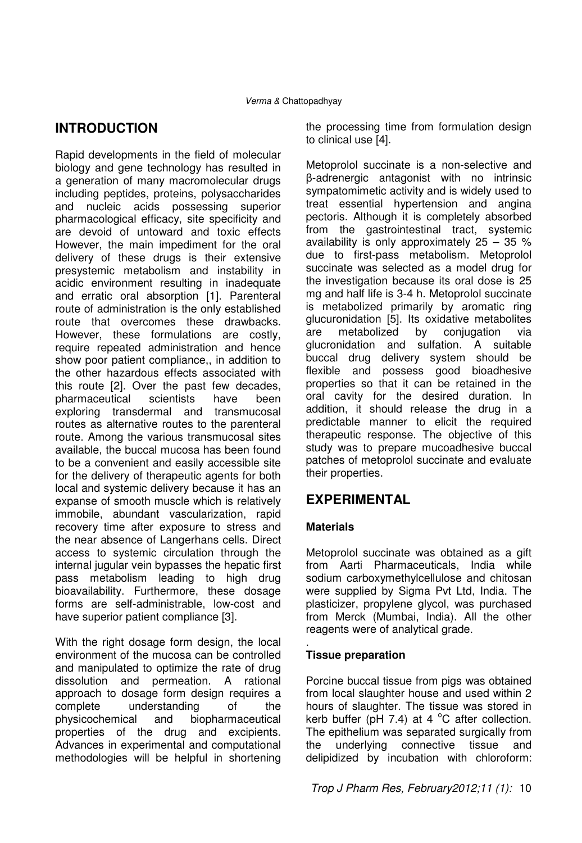## **INTRODUCTION**

Rapid developments in the field of molecular biology and gene technology has resulted in a generation of many macromolecular drugs including peptides, proteins, polysaccharides and nucleic acids possessing superior pharmacological efficacy, site specificity and are devoid of untoward and toxic effects However, the main impediment for the oral delivery of these drugs is their extensive presystemic metabolism and instability in acidic environment resulting in inadequate and erratic oral absorption [1]. Parenteral route of administration is the only established route that overcomes these drawbacks. However, these formulations are costly, require repeated administration and hence show poor patient compliance,, in addition to the other hazardous effects associated with this route [2]. Over the past few decades, pharmaceutical scientists have been exploring transdermal and transmucosal routes as alternative routes to the parenteral route. Among the various transmucosal sites available, the buccal mucosa has been found to be a convenient and easily accessible site for the delivery of therapeutic agents for both local and systemic delivery because it has an expanse of smooth muscle which is relatively immobile, abundant vascularization, rapid recovery time after exposure to stress and the near absence of Langerhans cells. Direct access to systemic circulation through the internal jugular vein bypasses the hepatic first pass metabolism leading to high drug bioavailability. Furthermore, these dosage forms are self-administrable, low-cost and have superior patient compliance [3].

With the right dosage form design, the local environment of the mucosa can be controlled and manipulated to optimize the rate of drug dissolution and permeation. A rational approach to dosage form design requires a complete understanding of the physicochemical and biopharmaceutical properties of the drug and excipients. Advances in experimental and computational methodologies will be helpful in shortening the processing time from formulation design to clinical use [4].

Metoprolol succinate is a non-selective and β-adrenergic antagonist with no intrinsic sympatomimetic activity and is widely used to treat essential hypertension and angina pectoris. Although it is completely absorbed from the gastrointestinal tract, systemic availability is only approximately  $25 - 35$  % due to first-pass metabolism. Metoprolol succinate was selected as a model drug for the investigation because its oral dose is 25 mg and half life is 3-4 h. Metoprolol succinate is metabolized primarily by aromatic ring glucuronidation [5]. Its oxidative metabolites are metabolized by conjugation via glucronidation and sulfation. A suitable buccal drug delivery system should be flexible and possess good bioadhesive properties so that it can be retained in the oral cavity for the desired duration. In addition, it should release the drug in a predictable manner to elicit the required therapeutic response. The objective of this study was to prepare mucoadhesive buccal patches of metoprolol succinate and evaluate their properties.

## **EXPERIMENTAL**

## **Materials**

Metoprolol succinate was obtained as a gift from Aarti Pharmaceuticals, India while sodium carboxymethylcellulose and chitosan were supplied by Sigma Pvt Ltd, India. The plasticizer, propylene glycol, was purchased from Merck (Mumbai, India). All the other reagents were of analytical grade.

#### . **Tissue preparation**

Porcine buccal tissue from pigs was obtained from local slaughter house and used within 2 hours of slaughter. The tissue was stored in kerb buffer (pH 7.4) at 4  $^{\circ}$ C after collection. The epithelium was separated surgically from the underlying connective tissue and delipidized by incubation with chloroform: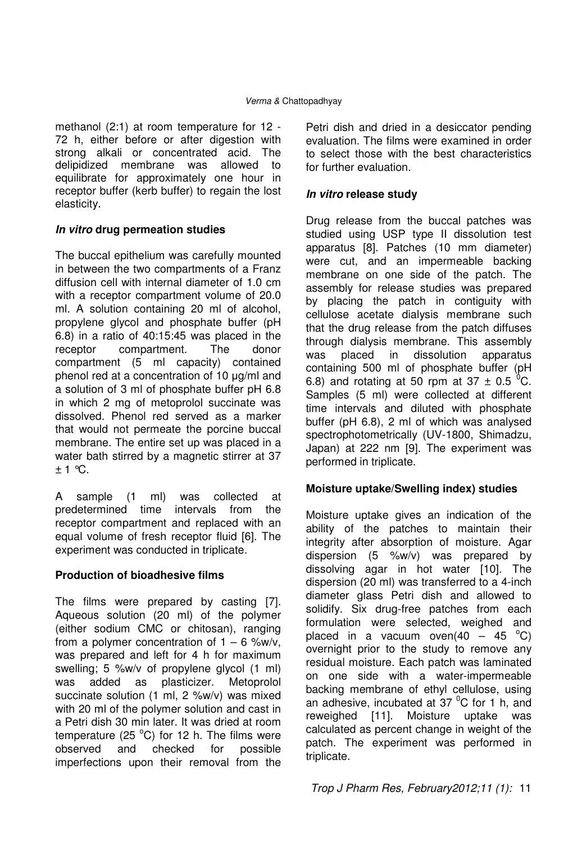methanol (2:1) at room temperature for 12 - 72 h, either before or after digestion with strong alkali or concentrated acid. The delipidized membrane was allowed to equilibrate for approximately one hour in receptor buffer (kerb buffer) to regain the lost elasticity.

## **In vitro drug permeation studies**

The buccal epithelium was carefully mounted in between the two compartments of a Franz diffusion cell with internal diameter of 1.0 cm with a receptor compartment volume of 20.0 ml. A solution containing 20 ml of alcohol, propylene glycol and phosphate buffer (pH 6.8) in a ratio of 40:15:45 was placed in the receptor compartment. The donor compartment (5 ml capacity) contained phenol red at a concentration of 10 µg/ml and a solution of 3 ml of phosphate buffer pH 6.8 in which 2 mg of metoprolol succinate was dissolved. Phenol red served as a marker that would not permeate the porcine buccal membrane. The entire set up was placed in a water bath stirred by a magnetic stirrer at 37  $± 1$  °C.

A sample (1 ml) was collected at predetermined time intervals from the receptor compartment and replaced with an equal volume of fresh receptor fluid [6]. The experiment was conducted in triplicate.

## **Production of bioadhesive films**

The films were prepared by casting [7]. Aqueous solution (20 ml) of the polymer (either sodium CMC or chitosan), ranging from a polymer concentration of  $1 - 6$  %w/v, was prepared and left for 4 h for maximum swelling; 5 %w/v of propylene glycol (1 ml) was added as plasticizer. Metoprolol succinate solution (1 ml, 2 %w/v) was mixed with 20 ml of the polymer solution and cast in a Petri dish 30 min later. It was dried at room temperature (25 $^{\circ}$ C) for 12 h. The films were observed and checked for possible imperfections upon their removal from the

Petri dish and dried in a desiccator pending evaluation. The films were examined in order to select those with the best characteristics for further evaluation.

## **In vitro release study**

Drug release from the buccal patches was studied using USP type II dissolution test apparatus [8]. Patches (10 mm diameter) were cut, and an impermeable backing membrane on one side of the patch. The assembly for release studies was prepared by placing the patch in contiguity with cellulose acetate dialysis membrane such that the drug release from the patch diffuses through dialysis membrane. This assembly was placed in dissolution apparatus containing 500 ml of phosphate buffer (pH 6.8) and rotating at 50 rpm at 37  $\pm$  0.5 °C. Samples (5 ml) were collected at different time intervals and diluted with phosphate buffer (pH 6.8), 2 ml of which was analysed spectrophotometrically (UV-1800, Shimadzu, Japan) at 222 nm [9]. The experiment was performed in triplicate.

## **Moisture uptake/Swelling index) studies**

Moisture uptake gives an indication of the ability of the patches to maintain their integrity after absorption of moisture. Agar dispersion (5 %w/v) was prepared by dissolving agar in hot water [10]. The dispersion (20 ml) was transferred to a 4-inch diameter glass Petri dish and allowed to solidify. Six drug-free patches from each formulation were selected, weighed and placed in a vacuum oven(40 – 45  $^{\circ}$ C) overnight prior to the study to remove any residual moisture. Each patch was laminated on one side with a water-impermeable backing membrane of ethyl cellulose, using an adhesive, incubated at 37 $\mathrm{^0C}$  for 1 h, and reweighed [11]. Moisture uptake was calculated as percent change in weight of the patch. The experiment was performed in triplicate.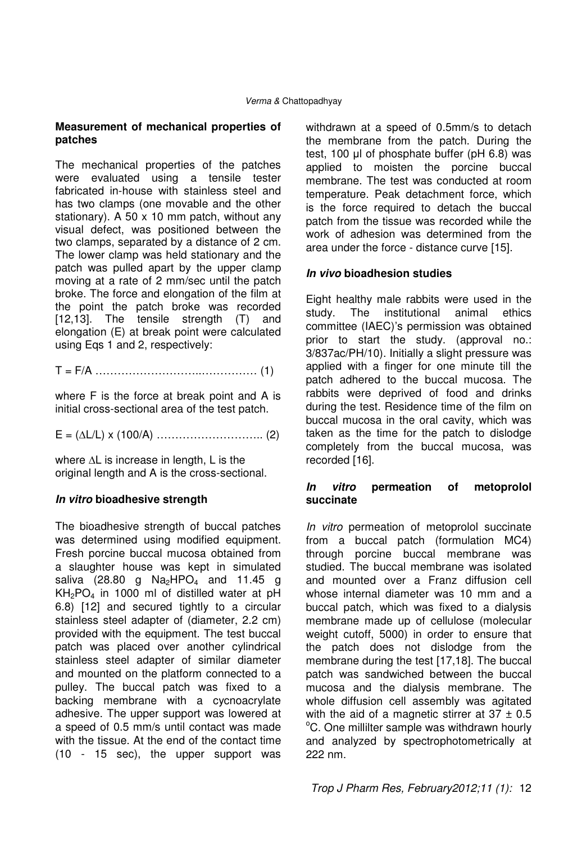### **Measurement of mechanical properties of patches**

The mechanical properties of the patches were evaluated using a tensile tester fabricated in-house with stainless steel and has two clamps (one movable and the other stationary). A 50 x 10 mm patch, without any visual defect, was positioned between the two clamps, separated by a distance of 2 cm. The lower clamp was held stationary and the patch was pulled apart by the upper clamp moving at a rate of 2 mm/sec until the patch broke. The force and elongation of the film at the point the patch broke was recorded [12,13]. The tensile strength (T) and elongation (E) at break point were calculated using Eqs 1 and 2, respectively:

T = F/A ………………………..…………… (1)

where F is the force at break point and A is initial cross-sectional area of the test patch.

E = (∆L/L) x (100/A) ……………………….. (2)

where ∆L is increase in length, L is the original length and A is the cross-sectional.

## **In vitro bioadhesive strength**

The bioadhesive strength of buccal patches was determined using modified equipment. Fresh porcine buccal mucosa obtained from a slaughter house was kept in simulated saliva (28.80 g  $Na<sub>2</sub>HPO<sub>4</sub>$  and 11.45 g  $KH<sub>2</sub>PO<sub>4</sub>$  in 1000 ml of distilled water at pH 6.8) [12] and secured tightly to a circular stainless steel adapter of (diameter, 2.2 cm) provided with the equipment. The test buccal patch was placed over another cylindrical stainless steel adapter of similar diameter and mounted on the platform connected to a pulley. The buccal patch was fixed to a backing membrane with a cycnoacrylate adhesive. The upper support was lowered at a speed of 0.5 mm/s until contact was made with the tissue. At the end of the contact time (10 - 15 sec), the upper support was withdrawn at a speed of 0.5mm/s to detach the membrane from the patch. During the test, 100 µl of phosphate buffer (pH 6.8) was applied to moisten the porcine buccal membrane. The test was conducted at room temperature. Peak detachment force, which is the force required to detach the buccal patch from the tissue was recorded while the work of adhesion was determined from the area under the force - distance curve [15].

### **In vivo bioadhesion studies**

Eight healthy male rabbits were used in the study. The institutional animal ethics committee (IAEC)'s permission was obtained prior to start the study. (approval no.: 3/837ac/PH/10). Initially a slight pressure was applied with a finger for one minute till the patch adhered to the buccal mucosa. The rabbits were deprived of food and drinks during the test. Residence time of the film on buccal mucosa in the oral cavity, which was taken as the time for the patch to dislodge completely from the buccal mucosa, was recorded [16].

### **In vitro permeation of metoprolol succinate**

In vitro permeation of metoprolol succinate from a buccal patch (formulation MC4) through porcine buccal membrane was studied. The buccal membrane was isolated and mounted over a Franz diffusion cell whose internal diameter was 10 mm and a buccal patch, which was fixed to a dialysis membrane made up of cellulose (molecular weight cutoff, 5000) in order to ensure that the patch does not dislodge from the membrane during the test [17,18]. The buccal patch was sandwiched between the buccal mucosa and the dialysis membrane. The whole diffusion cell assembly was agitated with the aid of a magnetic stirrer at  $37 \pm 0.5$ <sup>o</sup>C. One millilter sample was withdrawn hourly and analyzed by spectrophotometrically at 222 nm.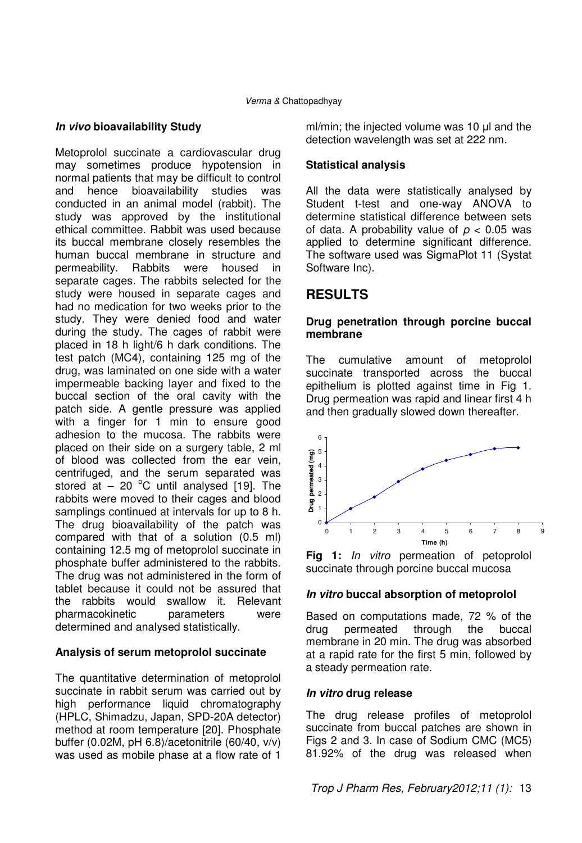## **In vivo bioavailability Study**

Metoprolol succinate a cardiovascular drug may sometimes produce hypotension in normal patients that may be difficult to control and hence bioavailability studies was conducted in an animal model (rabbit). The study was approved by the institutional ethical committee. Rabbit was used because its buccal membrane closely resembles the human buccal membrane in structure and permeability. Rabbits were housed in separate cages. The rabbits selected for the study were housed in separate cages and had no medication for two weeks prior to the study. They were denied food and water during the study. The cages of rabbit were placed in 18 h light/6 h dark conditions. The test patch (MC4), containing 125 mg of the drug, was laminated on one side with a water impermeable backing layer and fixed to the buccal section of the oral cavity with the patch side. A gentle pressure was applied with a finger for 1 min to ensure good adhesion to the mucosa. The rabbits were placed on their side on a surgery table, 2 ml of blood was collected from the ear vein, centrifuged, and the serum separated was stored at  $-20$  °C until analysed [19]. The rabbits were moved to their cages and blood samplings continued at intervals for up to 8 h. The drug bioavailability of the patch was compared with that of a solution (0.5 ml) containing 12.5 mg of metoprolol succinate in phosphate buffer administered to the rabbits. The drug was not administered in the form of tablet because it could not be assured that the rabbits would swallow it. Relevant pharmacokinetic parameters were determined and analysed statistically.

### **Analysis of serum metoprolol succinate**

The quantitative determination of metoprolol succinate in rabbit serum was carried out by high performance liquid chromatography (HPLC, Shimadzu, Japan, SPD-20A detector) method at room temperature [20]. Phosphate buffer (0.02M, pH 6.8)/acetonitrile (60/40, v/v) was used as mobile phase at a flow rate of 1

ml/min; the injected volume was 10 µl and the detection wavelength was set at 222 nm.

## **Statistical analysis**

All the data were statistically analysed by Student t-test and one-way ANOVA to determine statistical difference between sets of data. A probability value of  $p < 0.05$  was applied to determine significant difference. The software used was SigmaPlot 11 (Systat Software Inc).

## **RESULTS**

### **Drug penetration through porcine buccal membrane**

The cumulative amount of metoprolol succinate transported across the buccal epithelium is plotted against time in Fig 1. Drug permeation was rapid and linear first 4 h and then gradually slowed down thereafter.



**Fig 1:** In vitro permeation of petoprolol succinate through porcine buccal mucosa

### **In vitro buccal absorption of metoprolol**

Based on computations made, 72 % of the drug permeated through the buccal membrane in 20 min. The drug was absorbed at a rapid rate for the first 5 min, followed by a steady permeation rate.

### **In vitro drug release**

The drug release profiles of metoprolol succinate from buccal patches are shown in Figs 2 and 3. In case of Sodium CMC (MC5) 81.92% of the drug was released when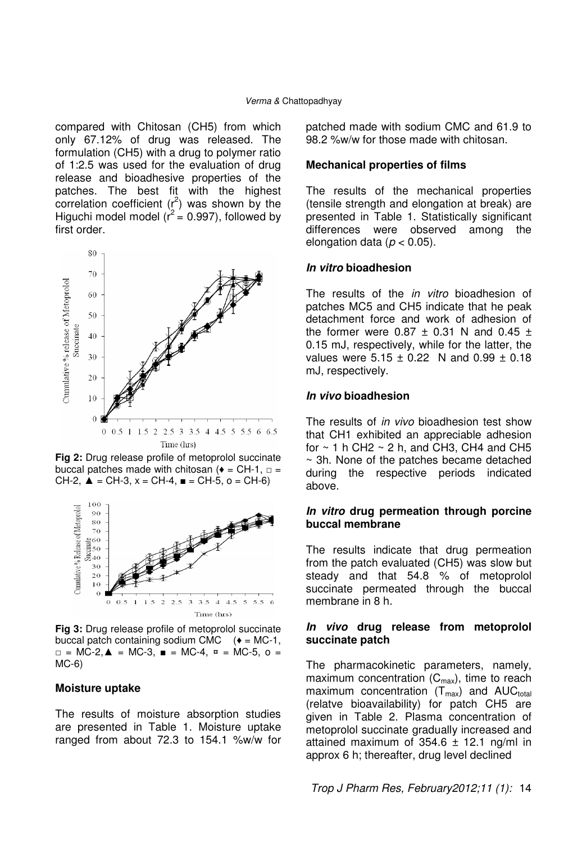compared with Chitosan (CH5) from which only 67.12% of drug was released. The formulation (CH5) with a drug to polymer ratio of 1:2.5 was used for the evaluation of drug release and bioadhesive properties of the patches. The best fit with the highest correlation coefficient  $(r^2)$  was shown by the Higuchi model model ( $r^2$  = 0.997), followed by first order.



**Fig 2:** Drug release profile of metoprolol succinate buccal patches made with chitosan ( $\bullet$  = CH-1,  $\Box$  = CH-2,  $\triangle$  = CH-3, x = CH-4,  $\equiv$  CH-5, o = CH-6)



**Fig 3:** Drug release profile of metoprolol succinate buccal patch containing sodium CMC  $(*) = MC-1$ , □ = MC-2,▲ = MC-3, ■ = MC-4, ¤ = MC-5, o = MC-6)

#### **Moisture uptake**

The results of moisture absorption studies are presented in Table 1. Moisture uptake ranged from about 72.3 to 154.1 %w/w for patched made with sodium CMC and 61.9 to 98.2 %w/w for those made with chitosan.

#### **Mechanical properties of films**

The results of the mechanical properties (tensile strength and elongation at break) are presented in Table 1. Statistically significant differences were observed among the elongation data ( $p < 0.05$ ).

#### **In vitro bioadhesion**

The results of the *in vitro* bioadhesion of patches MC5 and CH5 indicate that he peak detachment force and work of adhesion of the former were  $0.87 \pm 0.31$  N and  $0.45 \pm 0.31$ 0.15 mJ, respectively, while for the latter, the values were  $5.15 \pm 0.22$  N and  $0.99 \pm 0.18$ mJ, respectively.

#### **In vivo bioadhesion**

The results of *in vivo* bioadhesion test show that CH1 exhibited an appreciable adhesion for  $\sim$  1 h CH2  $\sim$  2 h, and CH3, CH4 and CH5 ~ 3h. None of the patches became detached during the respective periods indicated above.

### **In vitro drug permeation through porcine buccal membrane**

The results indicate that drug permeation from the patch evaluated (CH5) was slow but steady and that 54.8 % of metoprolol succinate permeated through the buccal membrane in 8 h.

#### **In vivo drug release from metoprolol succinate patch**

The pharmacokinetic parameters, namely, maximum concentration  $(C_{\text{max}})$ , time to reach maximum concentration  $(T_{max})$  and AUC<sub>total</sub> (relatve bioavailability) for patch CH5 are given in Table 2. Plasma concentration of metoprolol succinate gradually increased and attained maximum of  $354.6 \pm 12.1$  ng/ml in approx 6 h; thereafter, drug level declined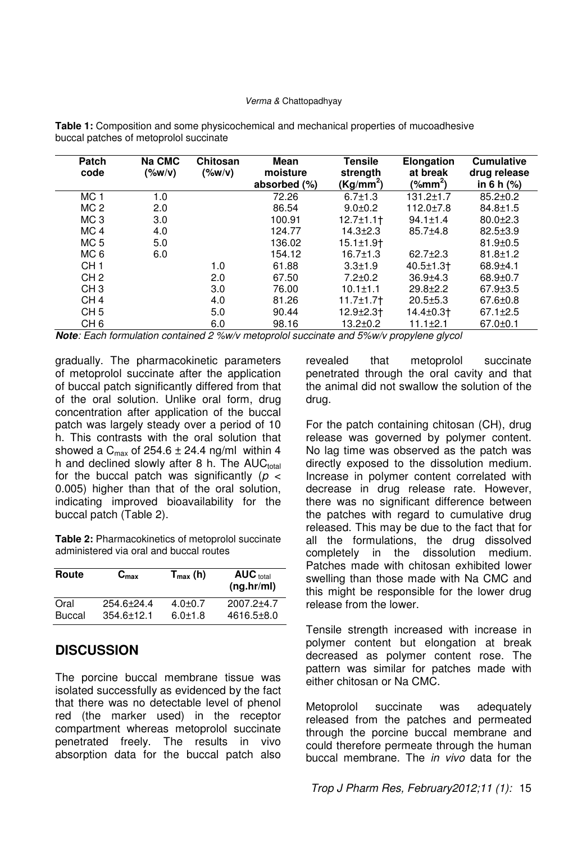#### Verma & Chattopadhyay

| Patch<br>code   | Na CMC<br>(%w/v) | Chitosan<br>$(\%w/v)$ | Mean<br>moisture<br>absorbed (%) | <b>Tensile</b><br>strength<br>(Kg/mm <sup>2</sup> ) | Elongation<br>at break<br>(%mm <sup>2</sup> ) | <b>Cumulative</b><br>drug release<br>in 6 h $(%)$ |
|-----------------|------------------|-----------------------|----------------------------------|-----------------------------------------------------|-----------------------------------------------|---------------------------------------------------|
| MC <sub>1</sub> | 1.0              |                       | 72.26                            | $6.7 + 1.3$                                         | $131.2 \pm 1.7$                               | $85.2 \pm 0.2$                                    |
| MC <sub>2</sub> | 2.0              |                       | 86.54                            | $9.0 + 0.2$                                         | $112.0 \pm 7.8$                               | $84.8 \pm 1.5$                                    |
| MC <sub>3</sub> | 3.0              |                       | 100.91                           | $12.7 + 1.1 +$                                      | $94.1 \pm 1.4$                                | $80.0 + 2.3$                                      |
| MC <sub>4</sub> | 4.0              |                       | 124.77                           | $14.3 \pm 2.3$                                      | $85.7{\pm}4.8$                                | $82.5 \pm 3.9$                                    |
| MC 5            | 5.0              |                       | 136.02                           | $15.1 \pm 1.9$                                      |                                               | $81.9 \pm 0.5$                                    |
| MC 6            | 6.0              |                       | 154.12                           | $16.7 \pm 1.3$                                      | $62.7 + 2.3$                                  | $81.8 \pm 1.2$                                    |
| CH <sub>1</sub> |                  | 1.0                   | 61.88                            | $3.3 \pm 1.9$                                       | $40.5 \pm 1.3$                                | $68.9 + 4.1$                                      |
| CH <sub>2</sub> |                  | 2.0                   | 67.50                            | $7.2 \pm 0.2$                                       | $36.9{\pm}4.3$                                | $68.9 + 0.7$                                      |
| CH <sub>3</sub> |                  | 3.0                   | 76.00                            | $10.1 \pm 1.1$                                      | $29.8 + 2.2$                                  | $67.9 \pm 3.5$                                    |
| CH <sub>4</sub> |                  | 4.0                   | 81.26                            | $11.7 \pm 1.7$                                      | $20.5 + 5.3$                                  | $67.6 \pm 0.8$                                    |
| CH <sub>5</sub> |                  | 5.0                   | 90.44                            | $12.9 \pm 2.3$                                      | 14.4±0.3†                                     | $67.1 \pm 2.5$                                    |
| CH <sub>6</sub> |                  | 6.0                   | 98.16                            | $13.2 + 0.2$                                        | $11.1 \pm 2.1$                                | $67.0 \pm 0.1$                                    |

**Table 1:** Composition and some physicochemical and mechanical properties of mucoadhesive buccal patches of metoprolol succinate

**Note**: Each formulation contained 2 %w/v metoprolol succinate and 5%w/v propylene glycol

gradually. The pharmacokinetic parameters of metoprolol succinate after the application of buccal patch significantly differed from that of the oral solution. Unlike oral form, drug concentration after application of the buccal patch was largely steady over a period of 10 h. This contrasts with the oral solution that showed a  $C_{\text{max}}$  of 254.6  $\pm$  24.4 ng/ml within 4 h and declined slowly after 8 h. The  $AUC<sub>total</sub>$ for the buccal patch was significantly ( $p <$ 0.005) higher than that of the oral solution, indicating improved bioavailability for the buccal patch (Table 2).

**Table 2:** Pharmacokinetics of metoprolol succinate administered via oral and buccal routes

| Route  | $C_{\text{max}}$ | $T_{max}$ (h) | <b>AUC</b> total<br>(ng/hr/ml) |
|--------|------------------|---------------|--------------------------------|
| Oral   | $254.6 + 24.4$   | $4.0 + 0.7$   | $2007.2 + 4.7$                 |
| Buccal | $354.6 \pm 12.1$ | $6.0 + 1.8$   | $4616.5 \pm 8.0$               |

## **DISCUSSION**

The porcine buccal membrane tissue was isolated successfully as evidenced by the fact that there was no detectable level of phenol red (the marker used) in the receptor compartment whereas metoprolol succinate penetrated freely. The results in vivo absorption data for the buccal patch also

revealed that metoprolol succinate penetrated through the oral cavity and that the animal did not swallow the solution of the drug.

For the patch containing chitosan (CH), drug release was governed by polymer content. No lag time was observed as the patch was directly exposed to the dissolution medium. Increase in polymer content correlated with decrease in drug release rate. However, there was no significant difference between the patches with regard to cumulative drug released. This may be due to the fact that for all the formulations, the drug dissolved completely in the dissolution medium. Patches made with chitosan exhibited lower swelling than those made with Na CMC and this might be responsible for the lower drug release from the lower.

Tensile strength increased with increase in polymer content but elongation at break decreased as polymer content rose. The pattern was similar for patches made with either chitosan or Na CMC.

Metoprolol succinate was adequately released from the patches and permeated through the porcine buccal membrane and could therefore permeate through the human buccal membrane. The *in vivo* data for the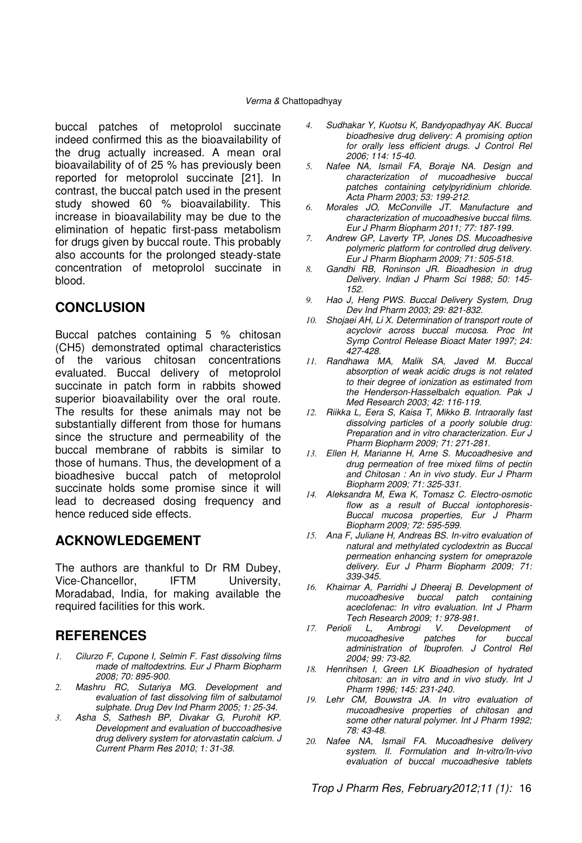buccal patches of metoprolol succinate indeed confirmed this as the bioavailability of the drug actually increased. A mean oral bioavailability of of 25 % has previously been reported for metoprolol succinate [21]. In contrast, the buccal patch used in the present study showed 60 % bioavailability. This increase in bioavailability may be due to the elimination of hepatic first-pass metabolism for drugs given by buccal route. This probably also accounts for the prolonged steady-state concentration of metoprolol succinate in blood.

## **CONCLUSION**

Buccal patches containing 5 % chitosan (CH5) demonstrated optimal characteristics of the various chitosan concentrations evaluated. Buccal delivery of metoprolol succinate in patch form in rabbits showed superior bioavailability over the oral route. The results for these animals may not be substantially different from those for humans since the structure and permeability of the buccal membrane of rabbits is similar to those of humans. Thus, the development of a bioadhesive buccal patch of metoprolol succinate holds some promise since it will lead to decreased dosing frequency and hence reduced side effects.

## **ACKNOWLEDGEMENT**

The authors are thankful to Dr RM Dubey, Vice-Chancellor, IFTM University, Moradabad, India, for making available the required facilities for this work.

## **REFERENCES**

- *1.* Cilurzo F, Cupone I, Selmin F. Fast dissolving films made of maltodextrins. Eur J Pharm Biopharm 2008; 70: 895-900.
- *2.* Mashru RC, Sutariya MG. Development and evaluation of fast dissolving film of salbutamol sulphate. Drug Dev Ind Pharm 2005; 1: 25-34.
- *3.* Asha S, Sathesh BP, Divakar G, Purohit KP. Development and evaluation of buccoadhesive drug delivery system for atorvastatin calcium. J Current Pharm Res 2010; 1: 31-38.
- *4.* Sudhakar Y, Kuotsu K, Bandyopadhyay AK. Buccal bioadhesive drug delivery: A promising option for orally less efficient drugs. J Control Rel 2006; 114: 15-40.
- *5.* Nafee NA, Ismail FA, Boraje NA. Design and characterization of mucoadhesive buccal patches containing cetylpyridinium chloride. Acta Pharm 2003; 53: 199-212.
- *6.* Morales JO, McConville JT. Manufacture and characterization of mucoadhesive buccal films. Eur J Pharm Biopharm 2011; 77: 187-199.
- *7.* Andrew GP, Laverty TP, Jones DS. Mucoadhesive polymeric platform for controlled drug delivery.
- Eur J Pharm Biopharm 2009; 71: 505-518. *8.* Gandhi RB, Roninson JR. Bioadhesion in drug Delivery. Indian J Pharm Sci 1988; 50: 145- 152.
- *9.* Hao J, Heng PWS. Buccal Delivery System, Drug Dev Ind Pharm 2003; 29: 821-832.
- *10.* Shojaei AH, Li X. Determination of transport route of acyclovir across buccal mucosa. Proc Int Symp Control Release Bioact Mater 1997; 24: 427-428.
- *11.* Randhawa MA, Malik SA, Javed M. Buccal absorption of weak acidic drugs is not related to their degree of ionization as estimated from the Henderson-Hasselbalch equation. Pak J Med Research 2003; 42: 116-119.
- *12.* Riikka L, Eera S, Kaisa T, Mikko B. Intraorally fast dissolving particles of a poorly soluble drug: Preparation and in vitro characterization. Eur J Pharm Biopharm 2009; 71: 271-281.
- *13.* Ellen H, Marianne H, Arne S. Mucoadhesive and drug permeation of free mixed films of pectin and Chitosan : An in vivo study. Eur J Pharm Biopharm 2009; 71: 325-331.
- *14.* Aleksandra M, Ewa K, Tomasz C. Electro-osmotic flow as a result of Buccal iontophoresis-Buccal mucosa properties, Eur J Pharm Biopharm 2009; 72: 595-599.
- *15.* Ana F, Juliane H, Andreas BS. In-vitro evaluation of natural and methylated cyclodextrin as Buccal permeation enhancing system for omeprazole delivery. Eur J Pharm Biopharm 2009; 71: 339-345.
- *16.* Khairnar A, Parridhi J Dheeraj B. Development of buccal patch containing aceclofenac: In vitro evaluation. Int J Pharm
- Tech Research 2009; 1: 978-981.<br>I7. Perioli L, Ambrogi V. Devel. L, Ambrogi V. Development of<br>Icoadhesive patches for buccal mucoadhesive administration of Ibuprofen. J Control Rel 2004; 99: 73-82.
- *18.* Henrihsen I, Green LK Bioadhesion of hydrated chitosan: an in vitro and in vivo study. Int J Pharm 1996; 145: 231-240.
- *19.* Lehr CM, Bouwstra JA. In vitro evaluation of mucoadhesive properties of chitosan and some other natural polymer. Int J Pharm 1992; 78: 43-48.
- *20.* Nafee NA, Ismail FA. Mucoadhesive delivery system. II. Formulation and In-vitro/In-vivo evaluation of buccal mucoadhesive tablets